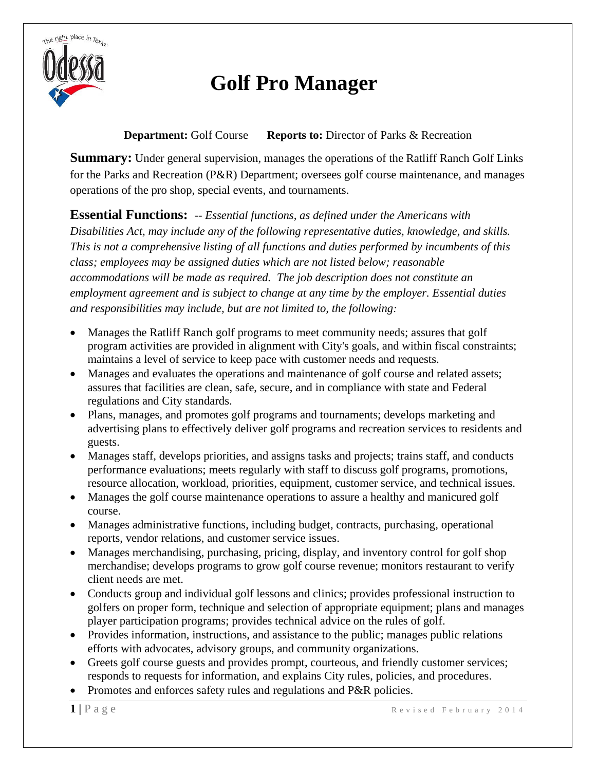

# **Golf Pro Manager**

**Department:** Golf Course **Reports to:** Director of Parks & Recreation

**Summary:** Under general supervision, manages the operations of the Ratliff Ranch Golf Links for the Parks and Recreation (P&R) Department; oversees golf course maintenance, and manages operations of the pro shop, special events, and tournaments.

**Essential Functions:**-- *Essential functions, as defined under the Americans with Disabilities Act, may include any of the following representative duties, knowledge, and skills. This is not a comprehensive listing of all functions and duties performed by incumbents of this class; employees may be assigned duties which are not listed below; reasonable accommodations will be made as required. The job description does not constitute an employment agreement and is subject to change at any time by the employer. Essential duties and responsibilities may include, but are not limited to, the following:*

- Manages the Ratliff Ranch golf programs to meet community needs; assures that golf program activities are provided in alignment with City's goals, and within fiscal constraints; maintains a level of service to keep pace with customer needs and requests.
- Manages and evaluates the operations and maintenance of golf course and related assets; assures that facilities are clean, safe, secure, and in compliance with state and Federal regulations and City standards.
- Plans, manages, and promotes golf programs and tournaments; develops marketing and advertising plans to effectively deliver golf programs and recreation services to residents and guests.
- Manages staff, develops priorities, and assigns tasks and projects; trains staff, and conducts performance evaluations; meets regularly with staff to discuss golf programs, promotions, resource allocation, workload, priorities, equipment, customer service, and technical issues.
- Manages the golf course maintenance operations to assure a healthy and manicured golf course.
- Manages administrative functions, including budget, contracts, purchasing, operational reports, vendor relations, and customer service issues.
- Manages merchandising, purchasing, pricing, display, and inventory control for golf shop merchandise; develops programs to grow golf course revenue; monitors restaurant to verify client needs are met.
- Conducts group and individual golf lessons and clinics; provides professional instruction to golfers on proper form, technique and selection of appropriate equipment; plans and manages player participation programs; provides technical advice on the rules of golf.
- Provides information, instructions, and assistance to the public; manages public relations efforts with advocates, advisory groups, and community organizations.
- Greets golf course guests and provides prompt, courteous, and friendly customer services; responds to requests for information, and explains City rules, policies, and procedures.
- Promotes and enforces safety rules and regulations and P&R policies.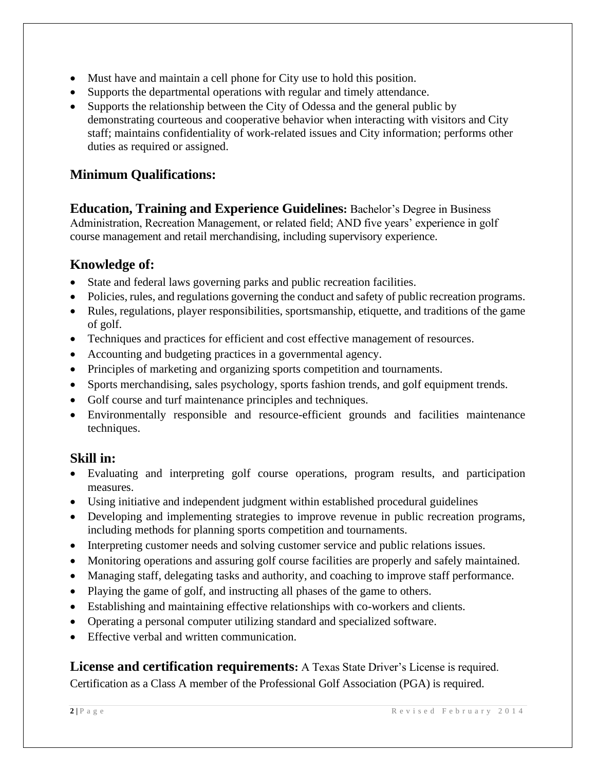- Must have and maintain a cell phone for City use to hold this position.
- Supports the departmental operations with regular and timely attendance.
- Supports the relationship between the City of Odessa and the general public by demonstrating courteous and cooperative behavior when interacting with visitors and City staff; maintains confidentiality of work-related issues and City information; performs other duties as required or assigned.

### **Minimum Qualifications:**

**Education, Training and Experience Guidelines:** Bachelor's Degree in Business Administration, Recreation Management, or related field; AND five years' experience in golf course management and retail merchandising, including supervisory experience.

## **Knowledge of:**

- State and federal laws governing parks and public recreation facilities.
- Policies, rules, and regulations governing the conduct and safety of public recreation programs.
- Rules, regulations, player responsibilities, sportsmanship, etiquette, and traditions of the game of golf.
- Techniques and practices for efficient and cost effective management of resources.
- Accounting and budgeting practices in a governmental agency.
- Principles of marketing and organizing sports competition and tournaments.
- Sports merchandising, sales psychology, sports fashion trends, and golf equipment trends.
- Golf course and turf maintenance principles and techniques.
- Environmentally responsible and resource-efficient grounds and facilities maintenance techniques.

#### **Skill in:**

- Evaluating and interpreting golf course operations, program results, and participation measures.
- Using initiative and independent judgment within established procedural guidelines
- Developing and implementing strategies to improve revenue in public recreation programs, including methods for planning sports competition and tournaments.
- Interpreting customer needs and solving customer service and public relations issues.
- Monitoring operations and assuring golf course facilities are properly and safely maintained.
- Managing staff, delegating tasks and authority, and coaching to improve staff performance.
- Playing the game of golf, and instructing all phases of the game to others.
- Establishing and maintaining effective relationships with co-workers and clients.
- Operating a personal computer utilizing standard and specialized software.
- Effective verbal and written communication.

**License and certification requirements:** A Texas State Driver's License is required.

Certification as a Class A member of the Professional Golf Association (PGA) is required.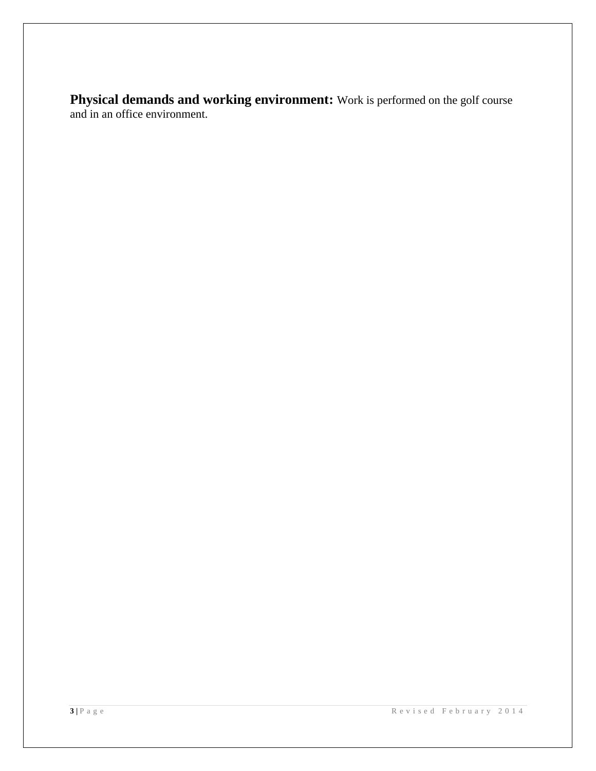**Physical demands and working environment:** Work is performed on the golf course and in an office environment.